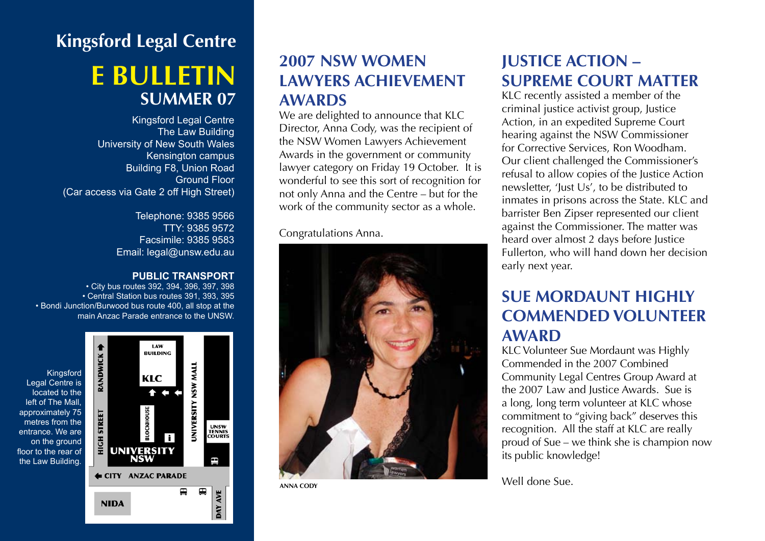# **Kingsford Legal Centre e bulletin SUMMER 07**

Kingsford Legal Centre The Law Building University of New South Wales Kensington campus Building F8, Union Road Ground Floor (Car access via Gate 2 off High Street)

> Telephone: 9385 9566 TTY: 9385 9572 Facsimile: 9385 9583 Email: legal@unsw.edu.au

#### **PUBLIC TRANSPORT**

• City bus routes 392, 394, 396, 397, 398 • Central Station bus routes 391, 393, 395 • Bondi Junction/Burwood bus route 400, all stop at the main Anzac Parade entrance to the UNSW.



# **2007 NSW Women Lawyers Achievement Awards**

We are delighted to announce that KLC Director, Anna Cody, was the recipient of the NSW Women Lawyers Achievement Awards in the government or community lawyer category on Friday 19 October. It is wonderful to see this sort of recognition for not only Anna and the Centre – but for the work of the community sector as a whole.

Congratulations Anna.



# **Justice Action – Supreme Court Matter**

KLC recently assisted a member of the criminal justice activist group, Justice Action, in an expedited Supreme Court hearing against the NSW Commissioner for Corrective Services, Ron Woodham. Our client challenged the Commissioner's refusal to allow copies of the Justice Action newsletter, 'Just Us', to be distributed to inmates in prisons across the State. KLC and barrister Ben Zipser represented our client against the Commissioner. The matter was heard over almost 2 days before Justice Fullerton, who will hand down her decision early next year.

# **SUE MORDAUNT HIGHIY Commended Volunteer Award**

KLC Volunteer Sue Mordaunt was Highly Commended in the 2007 Combined Community Legal Centres Group Award at the 2007 Law and Justice Awards. Sue is a long, long term volunteer at KLC whose commitment to "giving back" deserves this recognition. All the staff at KLC are really proud of Sue – we think she is champion now its public knowledge!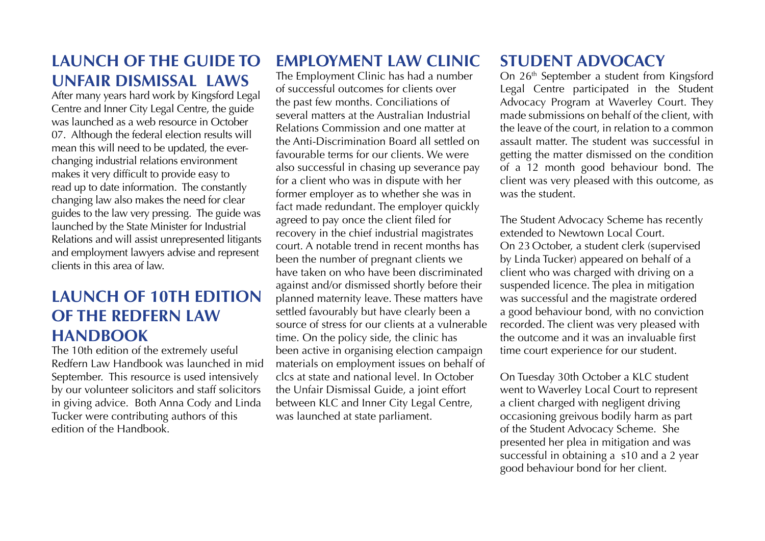**Launch of the Guide to Unfair Dismissal laws**

After many years hard work by Kingsford Legal Centre and Inner City Legal Centre, the guide was launched as a web resource in October 07. Although the federal election results will mean this will need to be updated, the everchanging industrial relations environment makes it very difficult to provide easy to read up to date information. The constantly changing law also makes the need for clear guides to the law very pressing. The guide was launched by the State Minister for Industrial Relations and will assist unrepresented litigants and employment lawyers advise and represent clients in this area of law.

# **Launch of 10th edition of the Redfern Law HANDBOOK**

The 10th edition of the extremely useful Redfern Law Handbook was launched in mid September. This resource is used intensively by our volunteer solicitors and staff solicitors in giving advice. Both Anna Cody and Linda Tucker were contributing authors of this edition of the Handbook.

# **Employment Law Clinic**

The Employment Clinic has had a number of successful outcomes for clients over the past few months. Conciliations of several matters at the Australian Industrial Relations Commission and one matter at the Anti-Discrimination Board all settled on favourable terms for our clients. We were also successful in chasing up severance pay for a client who was in dispute with her former employer as to whether she was in fact made redundant. The employer quickly agreed to pay once the client filed for recovery in the chief industrial magistrates court. A notable trend in recent months has been the number of pregnant clients we have taken on who have been discriminated against and/or dismissed shortly before their planned maternity leave. These matters have settled favourably but have clearly been a source of stress for our clients at a vulnerable time. On the policy side, the clinic has been active in organising election campaign materials on employment issues on behalf of clcs at state and national level. In October the Unfair Dismissal Guide, a joint effort between KLC and Inner City Legal Centre, was launched at state parliament.

# **Student Advocacy**

On 26<sup>th</sup> September a student from Kingsford Legal Centre participated in the Student Advocacy Program at Waverley Court. They made submissions on behalf of the client, with the leave of the court, in relation to a common assault matter. The student was successful in getting the matter dismissed on the condition of a 12 month good behaviour bond. The client was very pleased with this outcome, as was the student.

The Student Advocacy Scheme has recently extended to Newtown Local Court. On 23 October, a student clerk (supervised by Linda Tucker) appeared on behalf of a client who was charged with driving on a suspended licence. The plea in mitigation was successful and the magistrate ordered a good behaviour bond, with no conviction recorded. The client was very pleased with the outcome and it was an invaluable first time court experience for our student.

On Tuesday 30th October a KLC student went to Waverley Local Court to represent a client charged with negligent driving occasioning greivous bodily harm as part of the Student Advocacy Scheme. She presented her plea in mitigation and was successful in obtaining a s10 and a 2 year good behaviour bond for her client.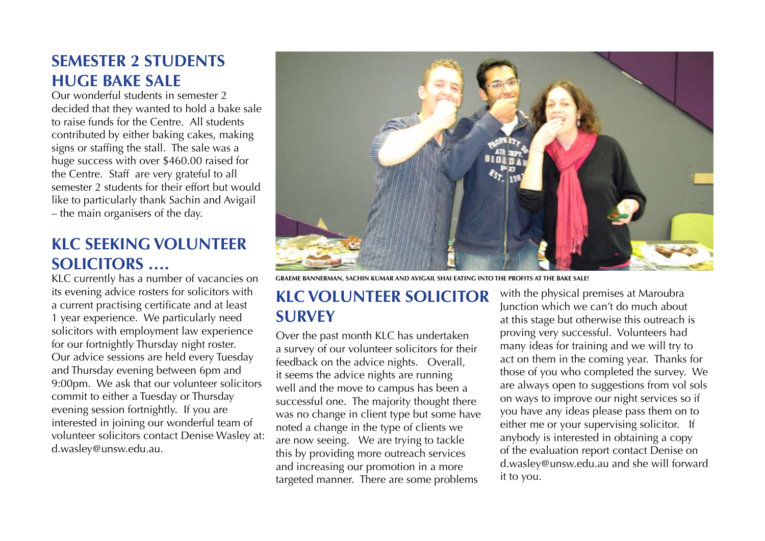### **Semester 2 Students Huge Bake Sale**

Our wonderful students in semester 2 decided that they wanted to hold a bake sale to raise funds for the Centre. All students contributed by either baking cakes, making signs or staffing the stall. The sale was a huge success with over \$460.00 raised for the Centre. Staff are very grateful to all semester 2 students for their effort but would like to particularly thank Sachin and Avigail – the main organisers of the day.

# **KLC seeking volunteer solicitors ….**

KLC currently has a number of vacancies on its evening advice rosters for solicitors with a current practising certificate and at least 1 year experience. We particularly need solicitors with employment law experience for our fortnightly Thursday night roster. Our advice sessions are held every Tuesday and Thursday evening between 6pm and 9:00pm. We ask that our volunteer solicitors commit to either a Tuesday or Thursday evening session fortnightly. If you are interested in joining our wonderful team of volunteer solicitors contact Denise Wasley at: d.wasley@unsw.edu.au.



**Graeme Bannerman, Sachin Kumar and Avigail Shai eating into the profits at the bake sale!**

#### **KLC Volunteer Solicitor Survey**

Over the past month KLC has undertaken a survey of our volunteer solicitors for their feedback on the advice nights. Overall, it seems the advice nights are running well and the move to campus has been a successful one. The majority thought there was no change in client type but some have noted a change in the type of clients we are now seeing. We are trying to tackle this by providing more outreach services and increasing our promotion in a more targeted manner. There are some problems

with the physical premises at Maroubra Junction which we can't do much about at this stage but otherwise this outreach is proving very successful. Volunteers had many ideas for training and we will try to act on them in the coming year. Thanks for those of you who completed the survey. We are always open to suggestions from vol sols on ways to improve our night services so if you have any ideas please pass them on to either me or your supervising solicitor. If anybody is interested in obtaining a copy of the evaluation report contact Denise on d.wasley@unsw.edu.au and she will forward it to you.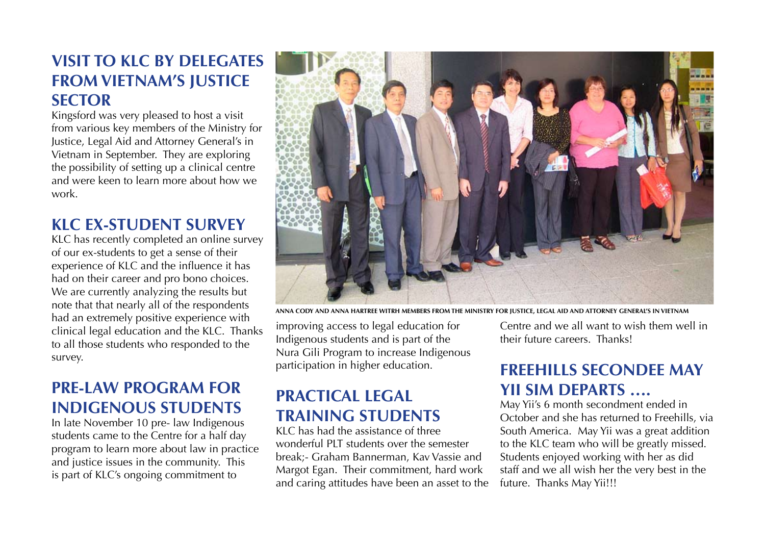# **Visit to KLC by delegates from Vietnam's Justice sector**

Kingsford was very pleased to host a visit from various key members of the Ministry for Justice, Legal Aid and Attorney General's in Vietnam in September. They are exploring the possibility of setting up a clinical centre and were keen to learn more about how we work.

# **KLC Ex-Student Survey**

KLC has recently completed an online survey of our ex-students to get a sense of their experience of KLC and the influence it has had on their career and pro bono choices. We are currently analyzing the results but note that that nearly all of the respondents had an extremely positive experience with clinical legal education and the KLC. Thanks to all those students who responded to the survey.

# **Pre-law program for Indigenous students**

In late November 10 pre- law Indigenous students came to the Centre for a half day program to learn more about law in practice and justice issues in the community. This is part of KLC's ongoing commitment to



**ANNA COdy and anna hartree witrh members from the Ministry for Justice, Legal Aid and Attorney General's in Vietnam** 

improving access to legal education for Indigenous students and is part of the Nura Gili Program to increase Indigenous participation in higher education.

# **Practical Legal Training Students**

KLC has had the assistance of three wonderful PLT students over the semester break;- Graham Bannerman, Kav Vassie and Margot Egan. Their commitment, hard work and caring attitudes have been an asset to the Centre and we all want to wish them well in their future careers. Thanks!

# **Freehills Secondee May Yii Sim departs ….**

May Yii's 6 month secondment ended in October and she has returned to Freehills, via South America. May Yii was a great addition to the KLC team who will be greatly missed. Students enjoyed working with her as did staff and we all wish her the very best in the future. Thanks May Yii!!!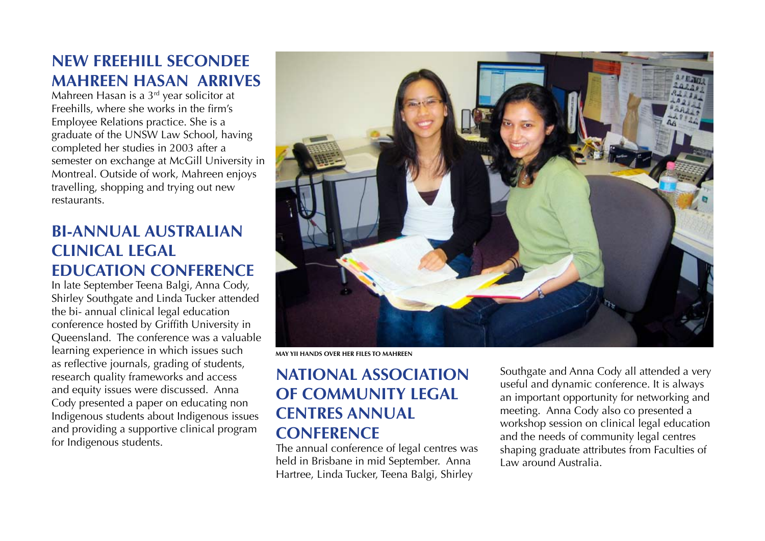# **New Freehill Secondee Mahreen Hasan arrives**

Mahreen Hasan is a 3rd year solicitor at Freehills, where she works in the firm's Employee Relations practice. She is a graduate of the UNSW Law School, having completed her studies in 2003 after a semester on exchange at McGill University in Montreal. Outside of work, Mahreen enjoys travelling, shopping and trying out new restaurants.

# **Bi-annual Australian clinical legal education conference**

In late September Teena Balgi, Anna Cody, Shirley Southgate and Linda Tucker attended the bi- annual clinical legal education conference hosted by Griffith University in Queensland. The conference was a valuable learning experience in which issues such as reflective journals, grading of students, research quality frameworks and access and equity issues were discussed. Anna Cody presented a paper on educating non Indigenous students about Indigenous issues and providing a supportive clinical program for Indigenous students.



**May Yii hands over her files to Mahreen**

# **National Association of Community Legal Centres Annual conference**

The annual conference of legal centres was held in Brisbane in mid September. Anna Hartree, Linda Tucker, Teena Balgi, Shirley

Southgate and Anna Cody all attended a very useful and dynamic conference. It is always an important opportunity for networking and meeting. Anna Cody also co presented a workshop session on clinical legal education and the needs of community legal centres shaping graduate attributes from Faculties of Law around Australia.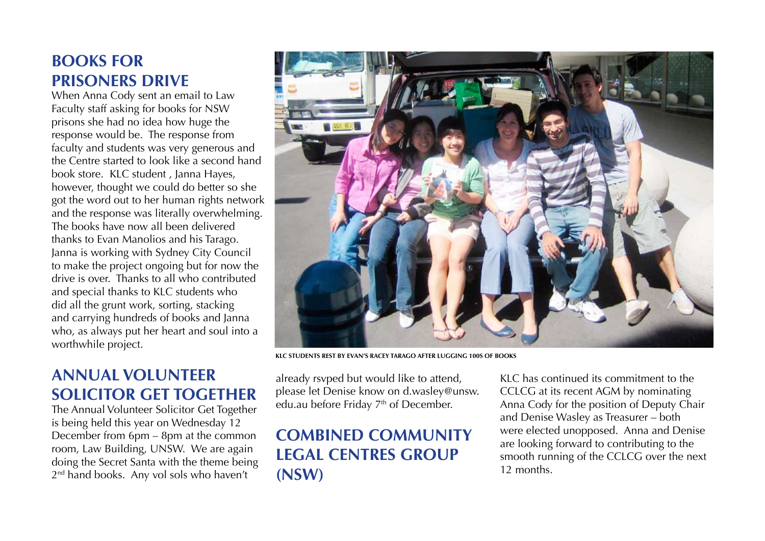# **Books for Prisoners Drive**

When Anna Cody sent an email to Law Faculty staff asking for books for NSW prisons she had no idea how huge the response would be. The response from faculty and students was very generous and the Centre started to look like a second hand book store. KLC student , Janna Hayes, however, thought we could do better so she got the word out to her human rights network and the response was literally overwhelming. The books have now all been delivered thanks to Evan Manolios and his Tarago. Janna is working with Sydney City Council to make the project ongoing but for now the drive is over. Thanks to all who contributed and special thanks to KLC students who did all the grunt work, sorting, stacking and carrying hundreds of books and Janna who, as always put her heart and soul into a worthwhile project.

# **Annual Volunteer Solicitor Get Together**

The Annual Volunteer Solicitor Get Together is being held this year on Wednesday 12 December from 6pm – 8pm at the common room, Law Building, UNSW. We are again doing the Secret Santa with the theme being 2<sup>nd</sup> hand books. Any vol sols who haven't



**KLC students rest by Evan's racey Tarago after lugging 100s of books**

already rsvped but would like to attend, please let Denise know on d.wasley@unsw. edu.au before Friday 7<sup>th</sup> of December.

# **Combined Community Legal Centres Group (NSW)**

KLC has continued its commitment to the CCLCG at its recent AGM by nominating Anna Cody for the position of Deputy Chair and Denise Wasley as Treasurer – both were elected unopposed. Anna and Denise are looking forward to contributing to the smooth running of the CCLCG over the next 12 months.